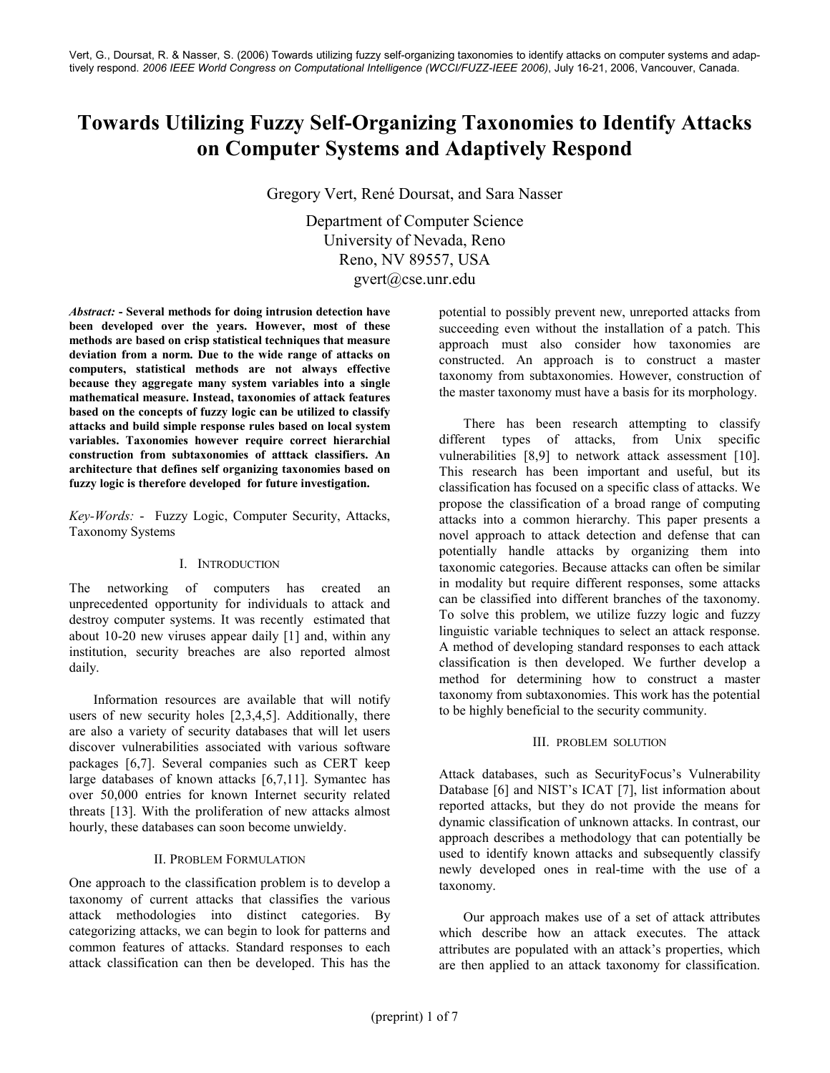# Towards Utilizing Fuzzy Self-Organizing Taxonomies to Identify Attacks on Computer Systems and Adaptively Respond

Gregory Vert, René Doursat, and Sara Nasser

Department of Computer Science University of Nevada, Reno Reno, NV 89557, USA gvert@cse.unr.edu

Abstract: - Several methods for doing intrusion detection have been developed over the years. However, most of these methods are based on crisp statistical techniques that measure deviation from a norm. Due to the wide range of attacks on computers, statistical methods are not always effective because they aggregate many system variables into a single mathematical measure. Instead, taxonomies of attack features based on the concepts of fuzzy logic can be utilized to classify attacks and build simple response rules based on local system variables. Taxonomies however require correct hierarchial construction from subtaxonomies of atttack classifiers. An architecture that defines self organizing taxonomies based on fuzzy logic is therefore developed for future investigation.

Key-Words: - Fuzzy Logic, Computer Security, Attacks, Taxonomy Systems

## I. INTRODUCTION

The networking of computers has created an unprecedented opportunity for individuals to attack and destroy computer systems. It was recently estimated that about 10-20 new viruses appear daily [1] and, within any institution, security breaches are also reported almost daily.

Information resources are available that will notify users of new security holes [2,3,4,5]. Additionally, there are also a variety of security databases that will let users discover vulnerabilities associated with various software packages [6,7]. Several companies such as CERT keep large databases of known attacks [6,7,11]. Symantec has over 50,000 entries for known Internet security related threats [13]. With the proliferation of new attacks almost hourly, these databases can soon become unwieldy.

## II. PROBLEM FORMULATION

One approach to the classification problem is to develop a taxonomy of current attacks that classifies the various attack methodologies into distinct categories. By categorizing attacks, we can begin to look for patterns and common features of attacks. Standard responses to each attack classification can then be developed. This has the potential to possibly prevent new, unreported attacks from succeeding even without the installation of a patch. This approach must also consider how taxonomies are constructed. An approach is to construct a master taxonomy from subtaxonomies. However, construction of the master taxonomy must have a basis for its morphology.

There has been research attempting to classify different types of attacks, from Unix specific vulnerabilities [8,9] to network attack assessment [10]. This research has been important and useful, but its classification has focused on a specific class of attacks. We propose the classification of a broad range of computing attacks into a common hierarchy. This paper presents a novel approach to attack detection and defense that can potentially handle attacks by organizing them into taxonomic categories. Because attacks can often be similar in modality but require different responses, some attacks can be classified into different branches of the taxonomy. To solve this problem, we utilize fuzzy logic and fuzzy linguistic variable techniques to select an attack response. A method of developing standard responses to each attack classification is then developed. We further develop a method for determining how to construct a master taxonomy from subtaxonomies. This work has the potential to be highly beneficial to the security community.

## III. PROBLEM SOLUTION

Attack databases, such as SecurityFocus's Vulnerability Database [6] and NIST's ICAT [7], list information about reported attacks, but they do not provide the means for dynamic classification of unknown attacks. In contrast, our approach describes a methodology that can potentially be used to identify known attacks and subsequently classify newly developed ones in real-time with the use of a taxonomy.

Our approach makes use of a set of attack attributes which describe how an attack executes. The attack attributes are populated with an attack's properties, which are then applied to an attack taxonomy for classification.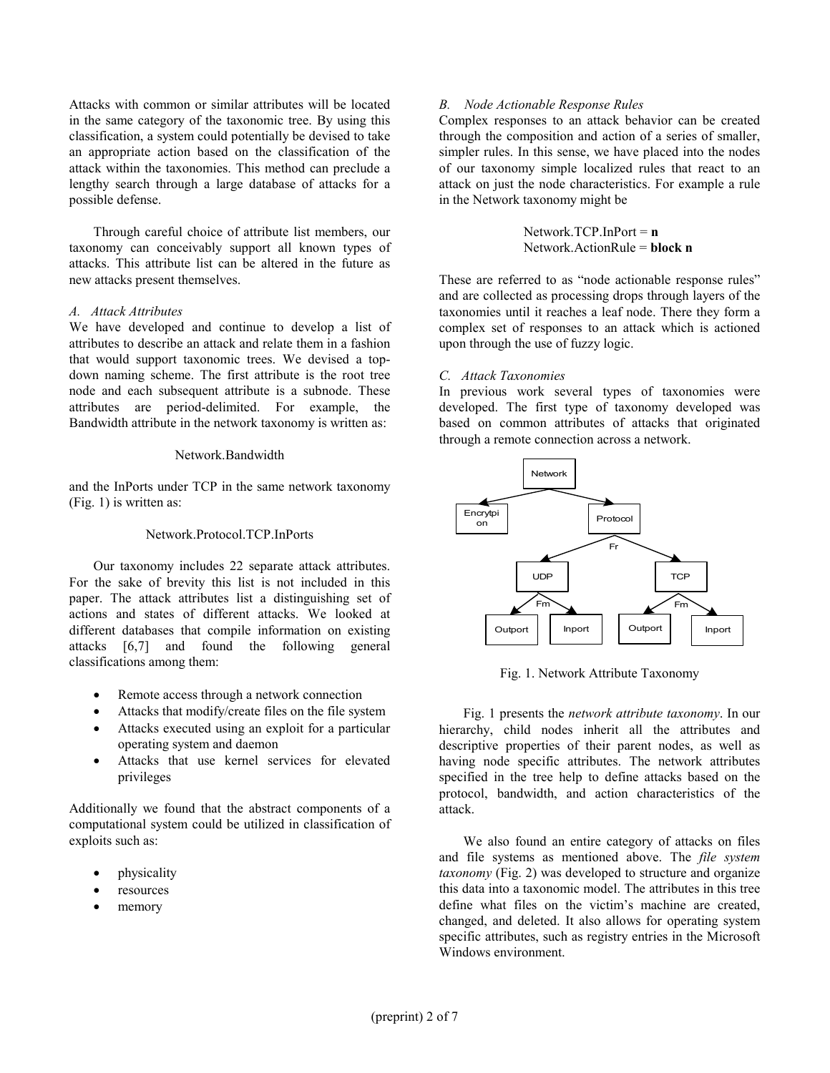Attacks with common or similar attributes will be located in the same category of the taxonomic tree. By using this classification, a system could potentially be devised to take an appropriate action based on the classification of the attack within the taxonomies. This method can preclude a lengthy search through a large database of attacks for a possible defense.

Through careful choice of attribute list members, our taxonomy can conceivably support all known types of attacks. This attribute list can be altered in the future as new attacks present themselves.

#### A. Attack Attributes

We have developed and continue to develop a list of attributes to describe an attack and relate them in a fashion that would support taxonomic trees. We devised a topdown naming scheme. The first attribute is the root tree node and each subsequent attribute is a subnode. These attributes are period-delimited. For example, the Bandwidth attribute in the network taxonomy is written as:

#### Network.Bandwidth

and the InPorts under TCP in the same network taxonomy (Fig. 1) is written as:

### Network.Protocol.TCP.InPorts

Our taxonomy includes 22 separate attack attributes. For the sake of brevity this list is not included in this paper. The attack attributes list a distinguishing set of actions and states of different attacks. We looked at different databases that compile information on existing attacks [6,7] and found the following general classifications among them:

- Remote access through a network connection
- Attacks that modify/create files on the file system
- Attacks executed using an exploit for a particular operating system and daemon
- Attacks that use kernel services for elevated privileges

Additionally we found that the abstract components of a computational system could be utilized in classification of exploits such as:

- physicality
- resources
- memory

## B. Node Actionable Response Rules

Complex responses to an attack behavior can be created through the composition and action of a series of smaller, simpler rules. In this sense, we have placed into the nodes of our taxonomy simple localized rules that react to an attack on just the node characteristics. For example a rule in the Network taxonomy might be

> Network.TCP.InPort =  $n$ Network.ActionRule = block n

These are referred to as "node actionable response rules" and are collected as processing drops through layers of the taxonomies until it reaches a leaf node. There they form a complex set of responses to an attack which is actioned upon through the use of fuzzy logic.

#### C. Attack Taxonomies

In previous work several types of taxonomies were developed. The first type of taxonomy developed was based on common attributes of attacks that originated through a remote connection across a network.



Fig. 1. Network Attribute Taxonomy

Fig. 1 presents the network attribute taxonomy. In our hierarchy, child nodes inherit all the attributes and descriptive properties of their parent nodes, as well as having node specific attributes. The network attributes specified in the tree help to define attacks based on the protocol, bandwidth, and action characteristics of the attack.

We also found an entire category of attacks on files and file systems as mentioned above. The file system taxonomy (Fig. 2) was developed to structure and organize this data into a taxonomic model. The attributes in this tree define what files on the victim's machine are created, changed, and deleted. It also allows for operating system specific attributes, such as registry entries in the Microsoft Windows environment.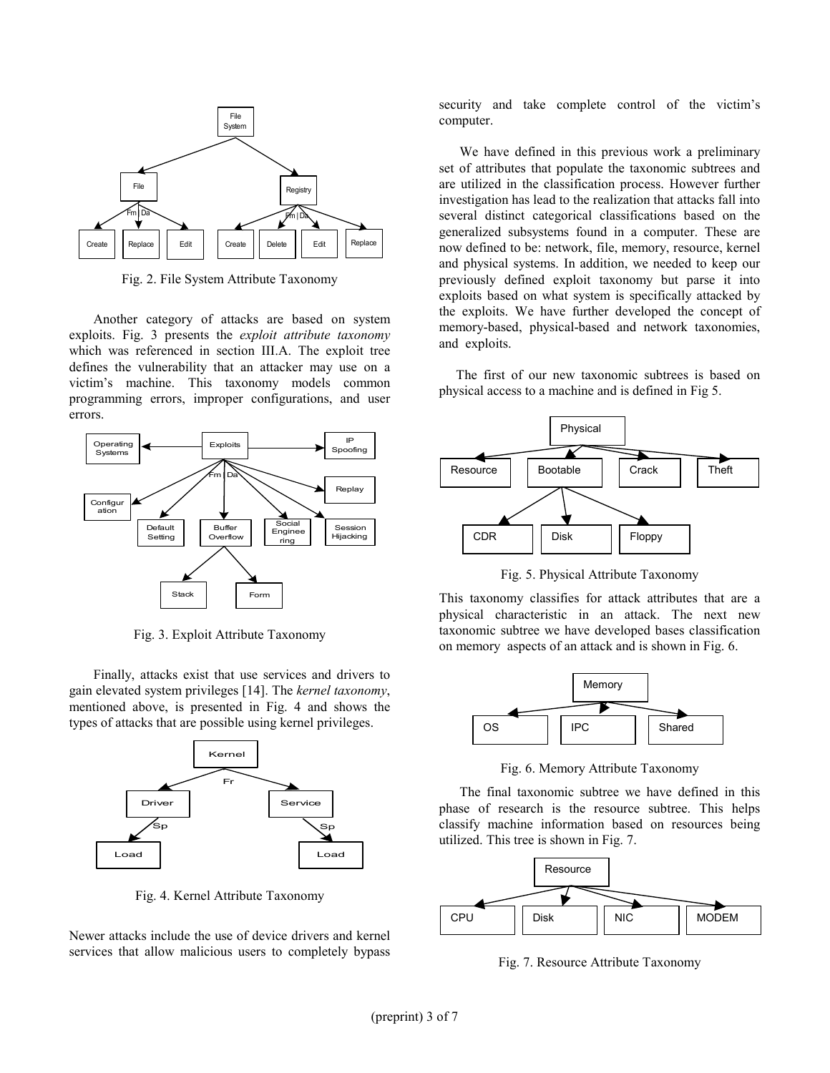

Fig. 2. File System Attribute Taxonomy

Another category of attacks are based on system exploits. Fig. 3 presents the exploit attribute taxonomy which was referenced in section III.A. The exploit tree defines the vulnerability that an attacker may use on a victim's machine. This taxonomy models common programming errors, improper configurations, and user errors.



Fig. 3. Exploit Attribute Taxonomy

Finally, attacks exist that use services and drivers to gain elevated system privileges [14]. The kernel taxonomy, mentioned above, is presented in Fig. 4 and shows the types of attacks that are possible using kernel privileges.



Fig. 4. Kernel Attribute Taxonomy

Newer attacks include the use of device drivers and kernel services that allow malicious users to completely bypass security and take complete control of the victim's computer.

 We have defined in this previous work a preliminary set of attributes that populate the taxonomic subtrees and are utilized in the classification process. However further investigation has lead to the realization that attacks fall into several distinct categorical classifications based on the generalized subsystems found in a computer. These are now defined to be: network, file, memory, resource, kernel and physical systems. In addition, we needed to keep our previously defined exploit taxonomy but parse it into exploits based on what system is specifically attacked by the exploits. We have further developed the concept of memory-based, physical-based and network taxonomies, and exploits.

 The first of our new taxonomic subtrees is based on physical access to a machine and is defined in Fig 5.



Fig. 5. Physical Attribute Taxonomy

This taxonomy classifies for attack attributes that are a physical characteristic in an attack. The next new taxonomic subtree we have developed bases classification on memory aspects of an attack and is shown in Fig. 6.



Fig. 6. Memory Attribute Taxonomy

 The final taxonomic subtree we have defined in this phase of research is the resource subtree. This helps classify machine information based on resources being utilized. This tree is shown in Fig. 7.



Fig. 7. Resource Attribute Taxonomy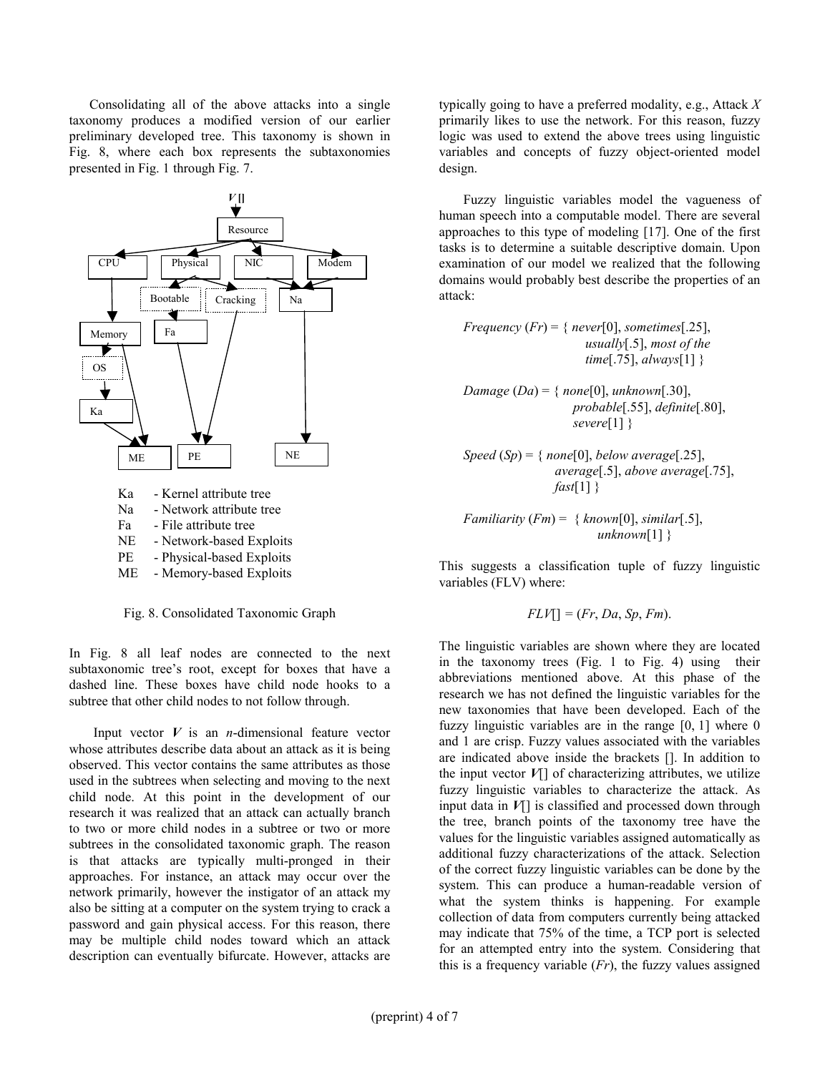Consolidating all of the above attacks into a single taxonomy produces a modified version of our earlier preliminary developed tree. This taxonomy is shown in Fig. 8, where each box represents the subtaxonomies presented in Fig. 1 through Fig. 7.



- PE Physical-based Exploits
- ME Memory-based Exploits

Fig. 8. Consolidated Taxonomic Graph

In Fig. 8 all leaf nodes are connected to the next subtaxonomic tree's root, except for boxes that have a dashed line. These boxes have child node hooks to a subtree that other child nodes to not follow through.

Input vector  $V$  is an *n*-dimensional feature vector whose attributes describe data about an attack as it is being observed. This vector contains the same attributes as those used in the subtrees when selecting and moving to the next child node. At this point in the development of our research it was realized that an attack can actually branch to two or more child nodes in a subtree or two or more subtrees in the consolidated taxonomic graph. The reason is that attacks are typically multi-pronged in their approaches. For instance, an attack may occur over the network primarily, however the instigator of an attack my also be sitting at a computer on the system trying to crack a password and gain physical access. For this reason, there may be multiple child nodes toward which an attack description can eventually bifurcate. However, attacks are typically going to have a preferred modality, e.g., Attack  $X$ primarily likes to use the network. For this reason, fuzzy logic was used to extend the above trees using linguistic variables and concepts of fuzzy object-oriented model design.

Fuzzy linguistic variables model the vagueness of human speech into a computable model. There are several approaches to this type of modeling [17]. One of the first tasks is to determine a suitable descriptive domain. Upon examination of our model we realized that the following domains would probably best describe the properties of an attack:

Frequency  $(Fr) = \{ never[0], sometimes[.25],$ usually $[.5]$ , most of the time[.75],  $always$ [1] }

Damage  $(Da) = \{ none[0], unknown[.30],$ probable[.55], definite[.80], severe[1] }

Speed  $(Sp) = \{ none[0], below average[.25],$ average[.5], above average[.75],  $fast[1]$ }

Familiarity  $(Fm) = \{ known[0], similar[.5],$  $unknown[1]$ }

This suggests a classification tuple of fuzzy linguistic variables (FLV) where:

$$
FLV[] = (Fr, Da, Sp, Fm).
$$

The linguistic variables are shown where they are located in the taxonomy trees (Fig. 1 to Fig. 4) using their abbreviations mentioned above. At this phase of the research we has not defined the linguistic variables for the new taxonomies that have been developed. Each of the fuzzy linguistic variables are in the range [0, 1] where 0 and 1 are crisp. Fuzzy values associated with the variables are indicated above inside the brackets []. In addition to the input vector  $V$ [] of characterizing attributes, we utilize fuzzy linguistic variables to characterize the attack. As input data in  $V[\ ]$  is classified and processed down through the tree, branch points of the taxonomy tree have the values for the linguistic variables assigned automatically as additional fuzzy characterizations of the attack. Selection of the correct fuzzy linguistic variables can be done by the system. This can produce a human-readable version of what the system thinks is happening. For example collection of data from computers currently being attacked may indicate that 75% of the time, a TCP port is selected for an attempted entry into the system. Considering that this is a frequency variable  $(Fr)$ , the fuzzy values assigned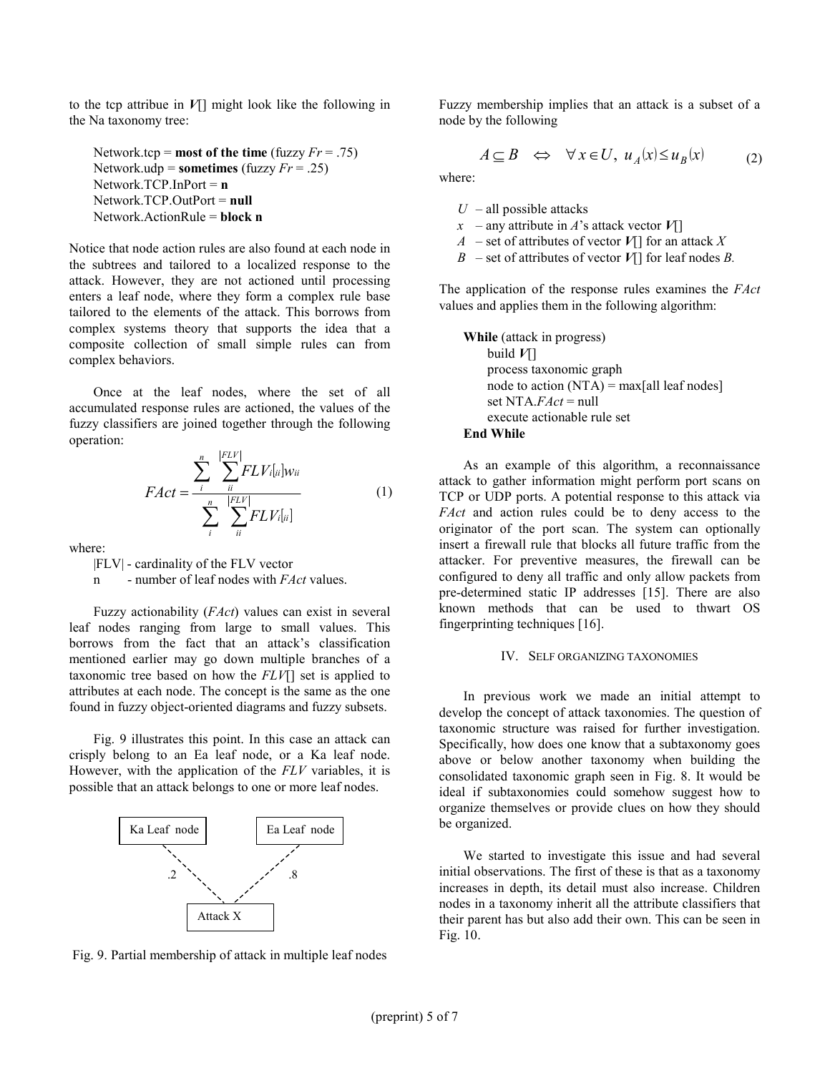to the tcp attribue in  $V$ ] might look like the following in the Na taxonomy tree:

```
Network.tcp = most of the time (fuzzy Fr = .75)
Network.udp = sometimes (fuzzy Fr = .25)
Network.TCP.InPort = \bf{n}Network.TCP.OutPort = null
Network.ActionRule = block n
```
Notice that node action rules are also found at each node in the subtrees and tailored to a localized response to the attack. However, they are not actioned until processing enters a leaf node, where they form a complex rule base tailored to the elements of the attack. This borrows from complex systems theory that supports the idea that a composite collection of small simple rules can from complex behaviors.

Once at the leaf nodes, where the set of all accumulated response rules are actioned, the values of the fuzzy classifiers are joined together through the following operation:

$$
FAct = \frac{\sum_{i}^{n} \sum_{ii}^{FLV} FLV_{i[u]}w_{ii}}{\sum_{i}^{n} \sum_{ii}^{FLV} FLV_{i[u]}}
$$
(1)

where:

|FLV| - cardinality of the FLV vector

n - number of leaf nodes with *FAct* values.

Fuzzy actionability (FAct) values can exist in several leaf nodes ranging from large to small values. This borrows from the fact that an attack's classification mentioned earlier may go down multiple branches of a taxonomic tree based on how the  $FLV$ [] set is applied to attributes at each node. The concept is the same as the one found in fuzzy object-oriented diagrams and fuzzy subsets.

Fig. 9 illustrates this point. In this case an attack can crisply belong to an Ea leaf node, or a Ka leaf node. However, with the application of the FLV variables, it is possible that an attack belongs to one or more leaf nodes.



Fig. 9. Partial membership of attack in multiple leaf nodes

Fuzzy membership implies that an attack is a subset of a node by the following

$$
A \subseteq B \iff \forall x \in U, \ u_A(x) \le u_B(x) \tag{2}
$$

where:

- $U$  all possible attacks
- $x$  any attribute in A's attack vector  $V[\ ]$
- A set of attributes of vector  $V[\]$  for an attack X
- $B$  set of attributes of vector  $V[$ ] for leaf nodes B.

The application of the response rules examines the FAct values and applies them in the following algorithm:

While (attack in progress) build  $V$ [] process taxonomic graph node to action  $(NTA) = max[all leaf nodes]$ set NTA. $FAct = null$  execute actionable rule set End While

As an example of this algorithm, a reconnaissance attack to gather information might perform port scans on TCP or UDP ports. A potential response to this attack via FAct and action rules could be to deny access to the originator of the port scan. The system can optionally insert a firewall rule that blocks all future traffic from the attacker. For preventive measures, the firewall can be configured to deny all traffic and only allow packets from pre-determined static IP addresses [15]. There are also known methods that can be used to thwart OS fingerprinting techniques [16].

### IV. SELF ORGANIZING TAXONOMIES

In previous work we made an initial attempt to develop the concept of attack taxonomies. The question of taxonomic structure was raised for further investigation. Specifically, how does one know that a subtaxonomy goes above or below another taxonomy when building the consolidated taxonomic graph seen in Fig. 8. It would be ideal if subtaxonomies could somehow suggest how to organize themselves or provide clues on how they should be organized.

We started to investigate this issue and had several initial observations. The first of these is that as a taxonomy increases in depth, its detail must also increase. Children nodes in a taxonomy inherit all the attribute classifiers that their parent has but also add their own. This can be seen in Fig. 10.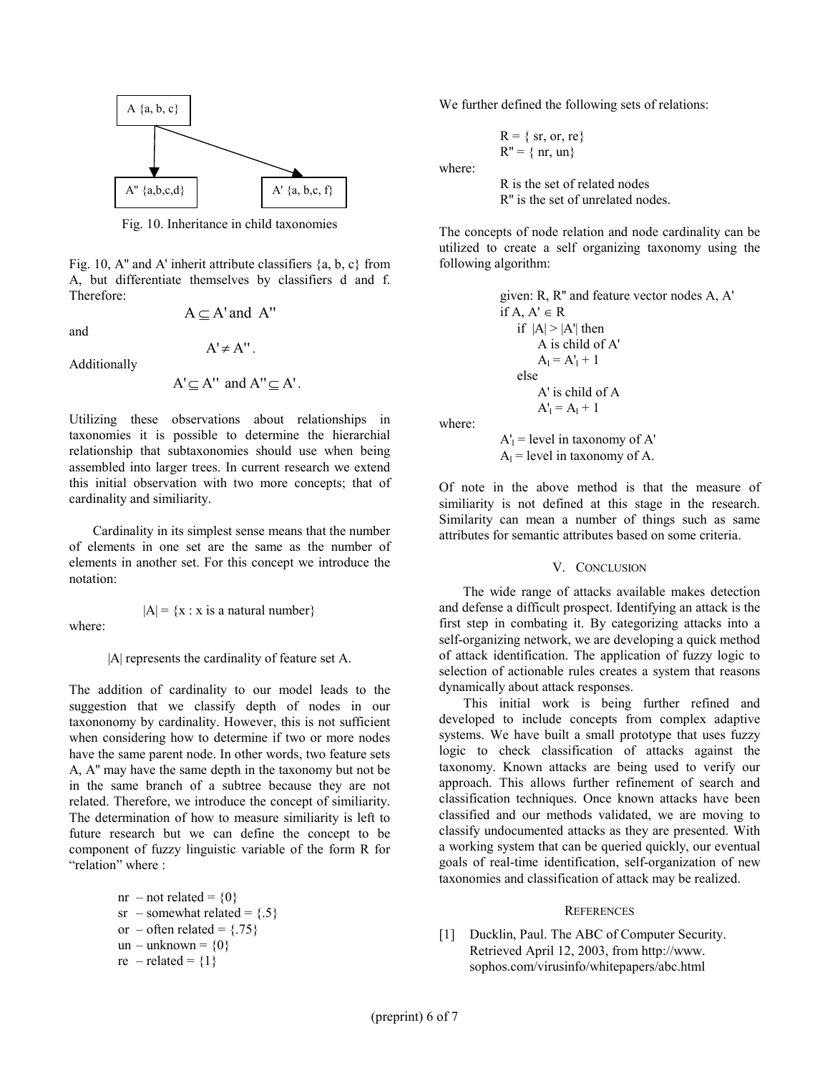

Fig. 10. Inheritance in child taxonomies

Fig. 10, A" and A' inherit attribute classifiers  $\{a, b, c\}$  from A, but differentiate themselves by classifiers d and f. Therefore:

 $A \subset A'$  and  $A''$ 

 $A' \neq A''$ .

and

Additionally

$$
A' \subseteq A'' \text{ and } A'' \subseteq A'.
$$

Utilizing these observations about relationships in taxonomies it is possible to determine the hierarchial relationship that subtaxonomies should use when being assembled into larger trees. In current research we extend this initial observation with two more concepts; that of cardinality and similiarity.

 Cardinality in its simplest sense means that the number of elements in one set are the same as the number of elements in another set. For this concept we introduce the notation:

where:

 $|A| = \{x : x \text{ is a natural number}\}\$ 

|A| represents the cardinality of feature set A.

The addition of cardinality to our model leads to the suggestion that we classify depth of nodes in our taxononomy by cardinality. However, this is not sufficient when considering how to determine if two or more nodes have the same parent node. In other words, two feature sets A, A'' may have the same depth in the taxonomy but not be in the same branch of a subtree because they are not related. Therefore, we introduce the concept of similiarity. The determination of how to measure similiarity is left to future research but we can define the concept to be component of fuzzy linguistic variable of the form R for "relation" where :

$$
nr - not related = {0}\nsr - somewhat related = {.5}\nor - often related = {.75}\nun - unknown = {0}\nre - related = {1}
$$

We further defined the following sets of relations:

 $R = \{ sr, or, re\}$  $R'' = \{ nr, un \}$ 

where:

R is the set of related nodes R'' is the set of unrelated nodes.

The concepts of node relation and node cardinality can be utilized to create a self organizing taxonomy using the following algorithm:

```
given: R, R'' and feature vector nodes A, A' 
if A, A' \in Rif |A| > |A'| then
        A is child of A' 
A_1 = A'_1 + 1 else 
        A' is child of A 
A'_1 = A_1 + 1
```
where:

 $A'_1$  = level in taxonomy of  $A'$  $A<sub>l</sub>$  = level in taxonomy of A.

Of note in the above method is that the measure of similiarity is not defined at this stage in the research. Similarity can mean a number of things such as same attributes for semantic attributes based on some criteria.

## V. CONCLUSION

 The wide range of attacks available makes detection and defense a difficult prospect. Identifying an attack is the first step in combating it. By categorizing attacks into a self-organizing network, we are developing a quick method of attack identification. The application of fuzzy logic to selection of actionable rules creates a system that reasons dynamically about attack responses.

This initial work is being further refined and developed to include concepts from complex adaptive systems. We have built a small prototype that uses fuzzy logic to check classification of attacks against the taxonomy. Known attacks are being used to verify our approach. This allows further refinement of search and classification techniques. Once known attacks have been classified and our methods validated, we are moving to classify undocumented attacks as they are presented. With a working system that can be queried quickly, our eventual goals of real-time identification, self-organization of new taxonomies and classification of attack may be realized.

#### **REFERENCES**

[1] Ducklin, Paul. The ABC of Computer Security. Retrieved April 12, 2003, from http://www. sophos.com/virusinfo/whitepapers/abc.html